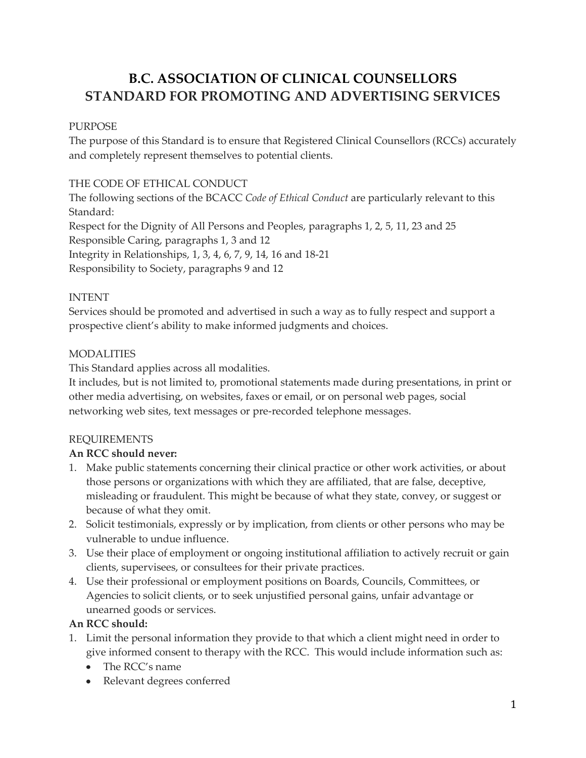# **B.C. ASSOCIATION OF CLINICAL COUNSELLORS STANDARD FOR PROMOTING AND ADVERTISING SERVICES**

## PURPOSE

The purpose of this Standard is to ensure that Registered Clinical Counsellors (RCCs) accurately and completely represent themselves to potential clients.

## THE CODE OF ETHICAL CONDUCT

The following sections of the BCACC *Code of Ethical Conduct* are particularly relevant to this Standard: Respect for the Dignity of All Persons and Peoples, paragraphs 1, 2, 5, 11, 23 and 25 Responsible Caring, paragraphs 1, 3 and 12 Integrity in Relationships, 1, 3, 4, 6, 7, 9, 14, 16 and 18-21 Responsibility to Society, paragraphs 9 and 12

## INTENT

Services should be promoted and advertised in such a way as to fully respect and support a prospective client's ability to make informed judgments and choices.

## MODALITIES

This Standard applies across all modalities.

It includes, but is not limited to, promotional statements made during presentations, in print or other media advertising, on websites, faxes or email, or on personal web pages, social networking web sites, text messages or pre-recorded telephone messages.

## REQUIREMENTS

#### **An RCC should never:**

- 1. Make public statements concerning their clinical practice or other work activities, or about those persons or organizations with which they are affiliated, that are false, deceptive, misleading or fraudulent. This might be because of what they state, convey, or suggest or because of what they omit.
- 2. Solicit testimonials, expressly or by implication, from clients or other persons who may be vulnerable to undue influence.
- 3. Use their place of employment or ongoing institutional affiliation to actively recruit or gain clients, supervisees, or consultees for their private practices.
- 4. Use their professional or employment positions on Boards, Councils, Committees, or Agencies to solicit clients, or to seek unjustified personal gains, unfair advantage or unearned goods or services.

#### **An RCC should:**

- 1. Limit the personal information they provide to that which a client might need in order to give informed consent to therapy with the RCC. This would include information such as:
	- The RCC's name
	- Relevant degrees conferred